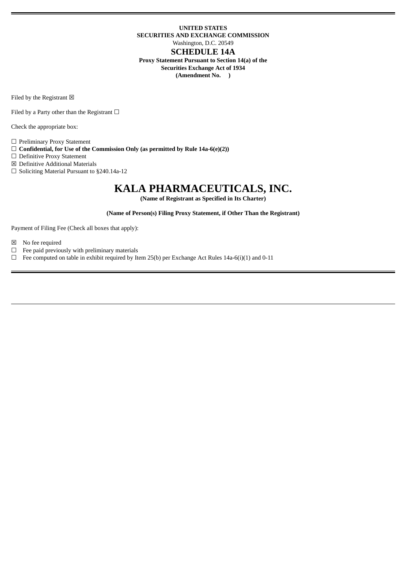# **UNITED STATES SECURITIES AND EXCHANGE COMMISSION** Washington, D.C. 20549 **SCHEDULE 14A Proxy Statement Pursuant to Section 14(a) of the Securities Exchange Act of 1934 (Amendment No. )**

Filed by the Registrant  $\boxtimes$ 

Filed by a Party other than the Registrant  $\Box$ 

Check the appropriate box:

☐ Preliminary Proxy Statement

- ☐ **Confidential, for Use of the Commission Only (as permitted by Rule 14a-6(e)(2))**
- ☐ Definitive Proxy Statement
- ☒ Definitive Additional Materials
- ☐ Soliciting Material Pursuant to §240.14a-12

# **KALA PHARMACEUTICALS, INC.**

**(Name of Registrant as Specified in Its Charter)**

**(Name of Person(s) Filing Proxy Statement, if Other Than the Registrant)**

Payment of Filing Fee (Check all boxes that apply):

- $\boxtimes$  No fee required<br> $\Box$  Fee paid previou
- $\Box$  Fee paid previously with preliminary materials  $\Box$  Fee computed on table in exhibit required by It
- Fee computed on table in exhibit required by Item 25(b) per Exchange Act Rules 14a-6(i)(1) and 0-11